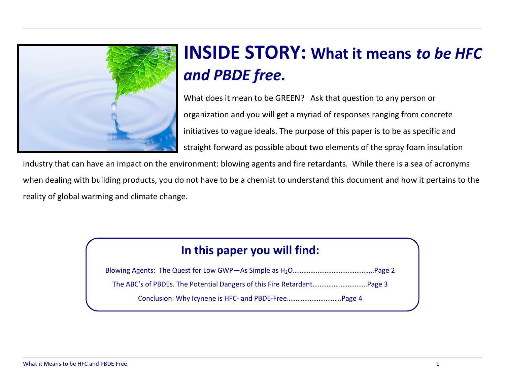

# **INSIDE STORY: What it means** *to be HFC* and PBDE free.

What does it mean to be GREEN? Ask that question to any person or organization and you will get a myriad of responses ranging from concrete initiatives to vague ideals. The purpose of this paper is to be as specific and straight forward as possible about two elements of the spray foam insulation

industry that can have an impact on the environment: blowing agents and fire retardants. While there is a sea of acronyms when dealing with building products, you do not have to be a chemist to understand this document and how it pertains to the reality of global warming and climate change.

### In this paper you will find:

Blowing Agents: The Quest for Low GWP—As Simple as H2O…………..…………………………..Page 2 The ABC's of PBDEs. The Potential Dangers of this Fire Retardant………………………….Page 3 Conclusion: Why Icynene is HFC- and PBDE-Free………………………….Page 4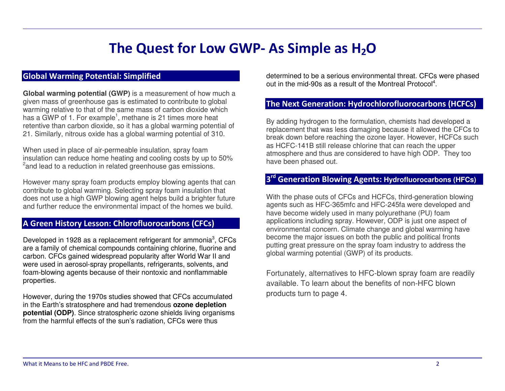### The Quest for Low GWP- As Simple as  $H_2O$

### Global Warming Potential: Simplified

**Global warming potential (GWP)** is a measurement of how much a given mass of greenhouse gas is estimated to contribute to global warming relative to that of the same mass of carbon dioxide which has a GWP of 1. For example<sup>1</sup>, methane is 21 times more heat retentive than carbon dioxide, so it has a global warming potential of 21. Similarly, nitrous oxide has a global warming potential of 310.

When used in place of air-permeable insulation, spray foam insulation can reduce home heating and cooling costs by up to 50% <sup>2</sup> and lead to a reduction in related greenhouse gas emissions.

However many spray foam products employ blowing agents that can contribute to global warming. Selecting spray foam insulation that does not use a high GWP blowing agent helps build a brighter future and further reduce the environmental impact of the homes we build.

### A Green History Lesson: Chlorofluorocarbons (CFCs)

Developed in 1928 as a replacement refrigerant for ammonia<sup>3</sup>, CFCs are a family of chemical compounds containing chlorine, fluorine and carbon. CFCs gained widespread popularity after World War II and were used in aerosol-spray propellants, refrigerants, solvents, and foam-blowing agents because of their nontoxic and nonflammable properties.

However, during the 1970s studies showed that CFCs accumulated in the Earth's stratosphere and had tremendous **ozone depletion potential (ODP)**. Since stratospheric ozone shields living organisms from the harmful effects of the sun's radiation, CFCs were thus

determined to be a serious environmental threat. CFCs were phased out in the mid-90s as a result of the Montreal Protocol<sup>4</sup>.

#### The Next Generation: Hydrochlorofluorocarbons (HCFCs)

By adding hydrogen to the formulation, chemists had developed a replacement that was less damaging because it allowed the CFCs to break down before reaching the ozone layer. However, HCFCs such as HCFC-141B still release chlorine that can reach the upper atmosphere and thus are considered to have high ODP. They too have been phased out.

### 3rd Generation Blowing Agents: **Hydrofluorocarbons (HFCs)**

With the phase outs of CFCs and HCFCs, third-generation blowing agents such as HFC-365mfc and HFC-245fa were developed and have become widely used in many polyurethane (PU) foam applications including spray. However, ODP is just one aspect of environmental concern. Climate change and global warming have become the major issues on both the public and political fronts putting great pressure on the spray foam industry to address the global warming potential (GWP) of its products.

Fortunately, alternatives to HFC-blown spray foam are readily available. To learn about the benefits of non-HFC blown products turn to page 4.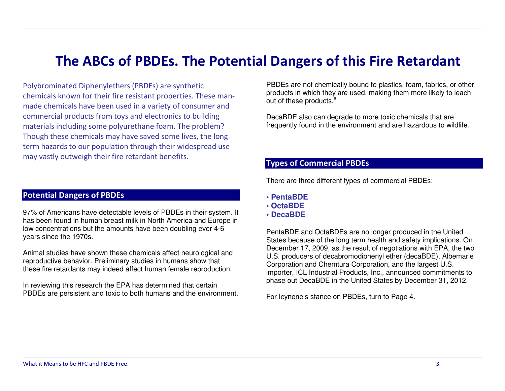### The ABCs of PBDEs. The Potential Dangers of this Fire Retardant

Polybrominated Diphenylethers (PBDEs) are synthetic chemicals known for their fire resistant properties. These manmade chemicals have been used in a variety of consumer and commercial products from toys and electronics to building materials including some polyurethane foam. The problem? Though these chemicals may have saved some lives, the long term hazards to our population through their widespread use may vastly outweigh their fire retardant benefits.

### Potential Dangers of PBDEs

97% of Americans have detectable levels of PBDEs in their system. It has been found in human breast milk in North America and Europe in low concentrations but the amounts have been doubling ever 4-6 years since the 1970s.

Animal studies have shown these chemicals affect neurological and reproductive behavior. Preliminary studies in humans show that these fire retardants may indeed affect human female reproduction.

In reviewing this research the EPA has determined that certain PBDEs are persistent and toxic to both humans and the environment.

PBDEs are not chemically bound to plastics, foam, fabrics, or other products in which they are used, making them more likely to leach out of these products.<sup>6</sup>

DecaBDE also can degrade to more toxic chemicals that are frequently found in the environment and are hazardous to wildlife.

### Types of Commercial PBDEs

There are three different types of commercial PBDEs:

- **PentaBDE**
- **OctaBDE**
- **DecaBDE**

PentaBDE and OctaBDEs are no longer produced in the United States because of the long term health and safety implications. On December 17, 2009, as the result of negotiations with EPA, the two U.S. producers of decabromodiphenyl ether (decaBDE), Albemarle Corporation and Chemtura Corporation, and the largest U.S. importer, ICL Industrial Products, Inc., announced commitments to phase out DecaBDE in the United States by December 31, 2012.

For Icynene's stance on PBDEs, turn to Page 4.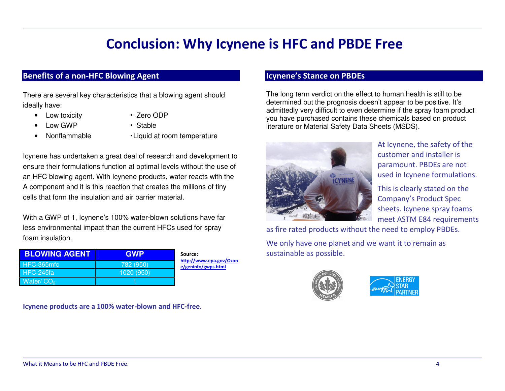## Conclusion: Why Icynene is HFC and PBDE Free

### Benefits of a non-HFC Blowing Agent

There are several key characteristics that a blowing agent should ideally have:

- Low toxicity **·** Zero ODP
	- Low GWP **·** Stable
- Nonflammable **·**Liquid at room temperature
- 

Source:

 http://www.epa.gov/Ozone/geninfo/gwps.html

Icynene has undertaken a great deal of research and development to ensure their formulations function at optimal levels without the use of an HFC blowing agent. With Icynene products, water reacts with the A component and it is this reaction that creates the millions of tiny cells that form the insulation and air barrier material.

With a GWP of 1, Icynene's 100% water-blown solutions have far less environmental impact than the current HFCs used for spray foam insulation.

| <b>BLOWING AGENT</b> | <b>GWP</b> |
|----------------------|------------|
| HFC-365mfc           | 782 (950)  |
| HFC-245fa            | 1020 (950) |
| Water/ $CO2$         |            |

Icynene products are a 100% water-blown and HFC-free.

#### Icynene's Stance on PBDEs

The long term verdict on the effect to human health is still to be determined but the prognosis doesn't appear to be positive. It's admittedly very difficult to even determine if the spray foam product you have purchased contains these chemicals based on product literature or Material Safety Data Sheets (MSDS).



At Icynene, the safety of the customer and installer is paramount. PBDEs are not used in Icynene formulations.

This is clearly stated on the Company's Product Spec sheets. Icynene spray foams meet ASTM E84 requirements

as fire rated products without the need to employ PBDEs.

We only have one planet and we want it to remain assustainable as possible.